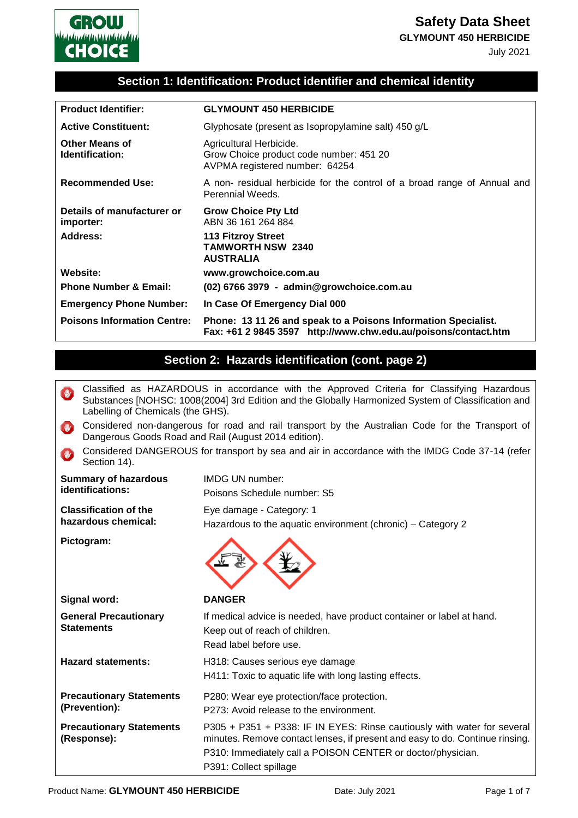**Safety Data Sheet**

**GLYMOUNT 450 HERBICIDE**

July 2021



### **Section 1: Identification: Product identifier and chemical identity**

| <b>Product Identifier:</b>               | <b>GLYMOUNT 450 HERBICIDE</b>                                                                                                    |
|------------------------------------------|----------------------------------------------------------------------------------------------------------------------------------|
| <b>Active Constituent:</b>               | Glyphosate (present as Isopropylamine salt) 450 g/L                                                                              |
| <b>Other Means of</b><br>Identification: | Agricultural Herbicide.<br>Grow Choice product code number: 451 20<br>AVPMA registered number: 64254                             |
| <b>Recommended Use:</b>                  | A non- residual herbicide for the control of a broad range of Annual and<br>Perennial Weeds.                                     |
| Details of manufacturer or<br>importer:  | <b>Grow Choice Pty Ltd</b><br>ABN 36 161 264 884                                                                                 |
| Address:                                 | <b>113 Fitzroy Street</b><br><b>TAMWORTH NSW 2340</b><br><b>AUSTRALIA</b>                                                        |
| Website:                                 | www.growchoice.com.au                                                                                                            |
| <b>Phone Number &amp; Email:</b>         | (02) 6766 3979 - admin@growchoice.com.au                                                                                         |
| <b>Emergency Phone Number:</b>           | In Case Of Emergency Dial 000                                                                                                    |
| <b>Poisons Information Centre:</b>       | Phone: 13 11 26 and speak to a Poisons Information Specialist.<br>Fax: +61 2 9845 3597 http://www.chw.edu.au/poisons/contact.htm |

### **Section 2: Hazards identification (cont. page 2)**

- Classified as HAZARDOUS in accordance with the Approved Criteria for Classifying Hazardous  $\mathbf{y}$ Substances [NOHSC: 1008(2004] 3rd Edition and the Globally Harmonized System of Classification and Labelling of Chemicals (the GHS).
- Considered non-dangerous for road and rail transport by the Australian Code for the Transport of **COUNTER** Dangerous Goods Road and Rail (August 2014 edition).
- Considered DANGEROUS for transport by sea and air in accordance with the IMDG Code 37-14 (refer  $\mathbf{w}$ Section 14).

| <b>Summary of hazardous</b><br>identifications:     | <b>IMDG UN number:</b><br>Poisons Schedule number: S5                                                                                                                                                                                            |
|-----------------------------------------------------|--------------------------------------------------------------------------------------------------------------------------------------------------------------------------------------------------------------------------------------------------|
| <b>Classification of the</b><br>hazardous chemical: | Eye damage - Category: 1<br>Hazardous to the aquatic environment (chronic) - Category 2                                                                                                                                                          |
| Pictogram:                                          |                                                                                                                                                                                                                                                  |
| Signal word:                                        | <b>DANGER</b>                                                                                                                                                                                                                                    |
| <b>General Precautionary</b><br><b>Statements</b>   | If medical advice is needed, have product container or label at hand.<br>Keep out of reach of children.<br>Read label before use.                                                                                                                |
| <b>Hazard statements:</b>                           | H318: Causes serious eye damage<br>H411: Toxic to aquatic life with long lasting effects.                                                                                                                                                        |
| <b>Precautionary Statements</b><br>(Prevention):    | P280: Wear eye protection/face protection.<br>P273: Avoid release to the environment.                                                                                                                                                            |
| <b>Precautionary Statements</b><br>(Response):      | P305 + P351 + P338: IF IN EYES: Rinse cautiously with water for several<br>minutes. Remove contact lenses, if present and easy to do. Continue rinsing.<br>P310: Immediately call a POISON CENTER or doctor/physician.<br>P391: Collect spillage |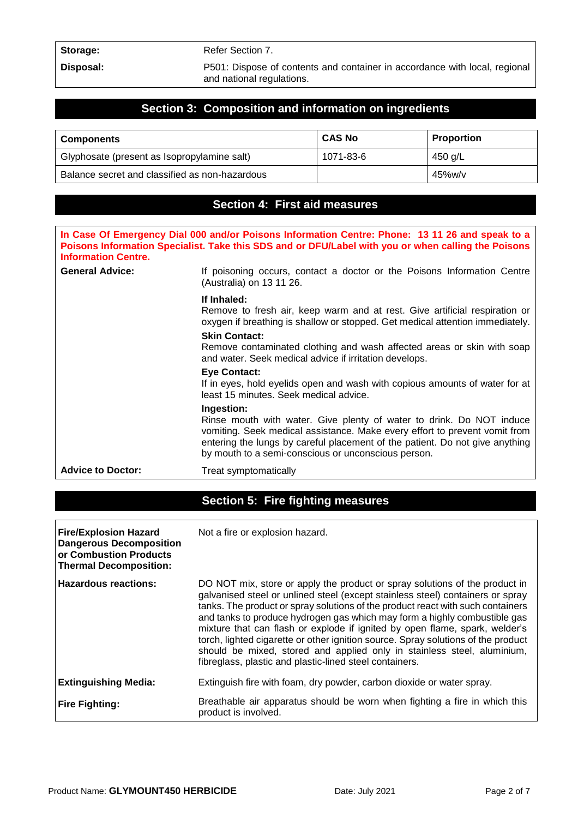Storage: Refer Section 7.

**Disposal:** P501: Dispose of contents and container in accordance with local, regional and national regulations.

### **Section 3: Composition and information on ingredients**

| <b>Components</b>                              | <b>CAS No</b> | <b>Proportion</b> |
|------------------------------------------------|---------------|-------------------|
| Glyphosate (present as Isopropylamine salt)    | 1071-83-6     | 450 g/L           |
| Balance secret and classified as non-hazardous |               | $45\%$ w/v        |

### **Section 4: First aid measures**

| In Case Of Emergency Dial 000 and/or Poisons Information Centre: Phone: 13 11 26 and speak to a<br>Poisons Information Specialist. Take this SDS and or DFU/Label with you or when calling the Poisons<br><b>Information Centre.</b> |                                                                                                                                                                                                                                                                                                                |  |
|--------------------------------------------------------------------------------------------------------------------------------------------------------------------------------------------------------------------------------------|----------------------------------------------------------------------------------------------------------------------------------------------------------------------------------------------------------------------------------------------------------------------------------------------------------------|--|
| <b>General Advice:</b>                                                                                                                                                                                                               | If poisoning occurs, contact a doctor or the Poisons Information Centre<br>(Australia) on 13 11 26.                                                                                                                                                                                                            |  |
|                                                                                                                                                                                                                                      | If Inhaled:<br>Remove to fresh air, keep warm and at rest. Give artificial respiration or<br>oxygen if breathing is shallow or stopped. Get medical attention immediately.                                                                                                                                     |  |
|                                                                                                                                                                                                                                      | <b>Skin Contact:</b><br>Remove contaminated clothing and wash affected areas or skin with soap<br>and water. Seek medical advice if irritation develops.                                                                                                                                                       |  |
|                                                                                                                                                                                                                                      | <b>Eye Contact:</b><br>If in eyes, hold eyelids open and wash with copious amounts of water for at<br>least 15 minutes. Seek medical advice.                                                                                                                                                                   |  |
|                                                                                                                                                                                                                                      | <b>Ingestion:</b><br>Rinse mouth with water. Give plenty of water to drink. Do NOT induce<br>vomiting. Seek medical assistance. Make every effort to prevent vomit from<br>entering the lungs by careful placement of the patient. Do not give anything<br>by mouth to a semi-conscious or unconscious person. |  |
| <b>Advice to Doctor:</b>                                                                                                                                                                                                             | Treat symptomatically                                                                                                                                                                                                                                                                                          |  |

### **Section 5: Fire fighting measures**

| <b>Fire/Explosion Hazard</b><br><b>Dangerous Decomposition</b><br>or Combustion Products<br><b>Thermal Decomposition:</b> | Not a fire or explosion hazard.                                                                                                                                                                                                                                                                                                                                                                                                                                                                                                                                                                                                         |
|---------------------------------------------------------------------------------------------------------------------------|-----------------------------------------------------------------------------------------------------------------------------------------------------------------------------------------------------------------------------------------------------------------------------------------------------------------------------------------------------------------------------------------------------------------------------------------------------------------------------------------------------------------------------------------------------------------------------------------------------------------------------------------|
| Hazardous reactions:                                                                                                      | DO NOT mix, store or apply the product or spray solutions of the product in<br>galvanised steel or unlined steel (except stainless steel) containers or spray<br>tanks. The product or spray solutions of the product react with such containers<br>and tanks to produce hydrogen gas which may form a highly combustible gas<br>mixture that can flash or explode if ignited by open flame, spark, welder's<br>torch, lighted cigarette or other ignition source. Spray solutions of the product<br>should be mixed, stored and applied only in stainless steel, aluminium,<br>fibreglass, plastic and plastic-lined steel containers. |
| <b>Extinguishing Media:</b>                                                                                               | Extinguish fire with foam, dry powder, carbon dioxide or water spray.                                                                                                                                                                                                                                                                                                                                                                                                                                                                                                                                                                   |
| <b>Fire Fighting:</b>                                                                                                     | Breathable air apparatus should be worn when fighting a fire in which this<br>product is involved.                                                                                                                                                                                                                                                                                                                                                                                                                                                                                                                                      |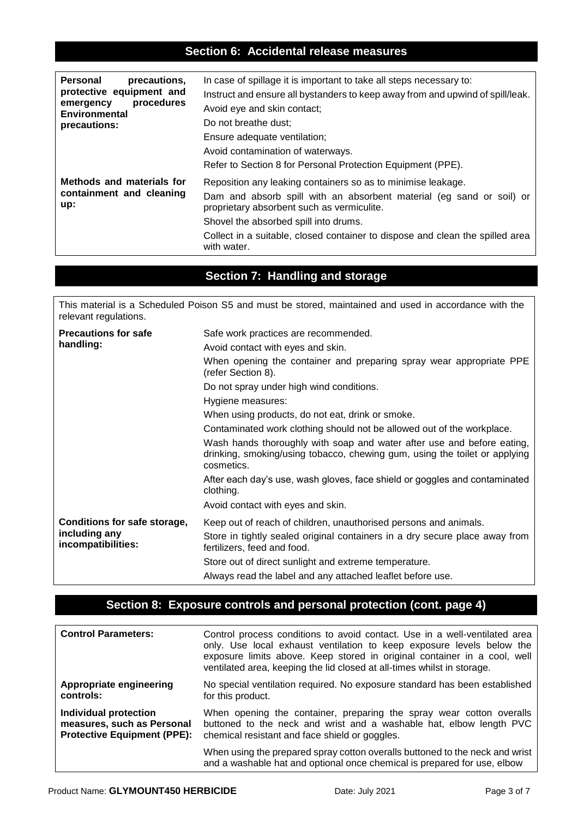### **Section 6: Accidental release measures**

| Personal                                                     | In case of spillage it is important to take all steps necessary to:                                                                                                                                                                                                                                                         |
|--------------------------------------------------------------|-----------------------------------------------------------------------------------------------------------------------------------------------------------------------------------------------------------------------------------------------------------------------------------------------------------------------------|
| precautions,                                                 | Instruct and ensure all bystanders to keep away from and upwind of spill/leak.                                                                                                                                                                                                                                              |
| protective equipment and                                     | Avoid eye and skin contact;                                                                                                                                                                                                                                                                                                 |
| procedures                                                   | Do not breathe dust:                                                                                                                                                                                                                                                                                                        |
| emergency                                                    | Ensure adequate ventilation;                                                                                                                                                                                                                                                                                                |
| Environmental                                                | Avoid contamination of waterways.                                                                                                                                                                                                                                                                                           |
| precautions:                                                 | Refer to Section 8 for Personal Protection Equipment (PPE).                                                                                                                                                                                                                                                                 |
| Methods and materials for<br>containment and cleaning<br>up: | Reposition any leaking containers so as to minimise leakage.<br>Dam and absorb spill with an absorbent material (eg sand or soil) or<br>proprietary absorbent such as vermiculite.<br>Shovel the absorbed spill into drums.<br>Collect in a suitable, closed container to dispose and clean the spilled area<br>with water. |

### **Section 7: Handling and storage**

This material is a Scheduled Poison S5 and must be stored, maintained and used in accordance with the relevant regulations.

| <b>Precautions for safe</b><br>handling:                            | Safe work practices are recommended.                                                                                                                                           |
|---------------------------------------------------------------------|--------------------------------------------------------------------------------------------------------------------------------------------------------------------------------|
|                                                                     | Avoid contact with eyes and skin.                                                                                                                                              |
|                                                                     | When opening the container and preparing spray wear appropriate PPE<br>(refer Section 8).                                                                                      |
|                                                                     | Do not spray under high wind conditions.                                                                                                                                       |
|                                                                     | Hygiene measures:                                                                                                                                                              |
|                                                                     | When using products, do not eat, drink or smoke.                                                                                                                               |
|                                                                     | Contaminated work clothing should not be allowed out of the workplace.                                                                                                         |
|                                                                     | Wash hands thoroughly with soap and water after use and before eating,<br>drinking, smoking/using tobacco, chewing gum, using the toilet or applying<br>cosmetics.             |
|                                                                     | After each day's use, wash gloves, face shield or goggles and contaminated<br>clothing.                                                                                        |
|                                                                     | Avoid contact with eyes and skin.                                                                                                                                              |
| Conditions for safe storage,<br>including any<br>incompatibilities: | Keep out of reach of children, unauthorised persons and animals.<br>Store in tightly sealed original containers in a dry secure place away from<br>fertilizers, feed and food. |
|                                                                     | Store out of direct sunlight and extreme temperature.                                                                                                                          |
|                                                                     | Always read the label and any attached leaflet before use.                                                                                                                     |

### **Section 8: Exposure controls and personal protection (cont. page 4)**

| <b>Control Parameters:</b>         | Control process conditions to avoid contact. Use in a well-ventilated area<br>only. Use local exhaust ventilation to keep exposure levels below the<br>exposure limits above. Keep stored in original container in a cool, well<br>ventilated area, keeping the lid closed at all-times whilst in storage. |
|------------------------------------|------------------------------------------------------------------------------------------------------------------------------------------------------------------------------------------------------------------------------------------------------------------------------------------------------------|
| Appropriate engineering            | No special ventilation required. No exposure standard has been established                                                                                                                                                                                                                                 |
| controls:                          | for this product.                                                                                                                                                                                                                                                                                          |
| <b>Individual protection</b>       | When opening the container, preparing the spray wear cotton overalls                                                                                                                                                                                                                                       |
| measures, such as Personal         | buttoned to the neck and wrist and a washable hat, elbow length PVC                                                                                                                                                                                                                                        |
| <b>Protective Equipment (PPE):</b> | chemical resistant and face shield or goggles.                                                                                                                                                                                                                                                             |
|                                    | When using the prepared spray cotton overalls buttoned to the neck and wrist<br>and a washable hat and optional once chemical is prepared for use, elbow                                                                                                                                                   |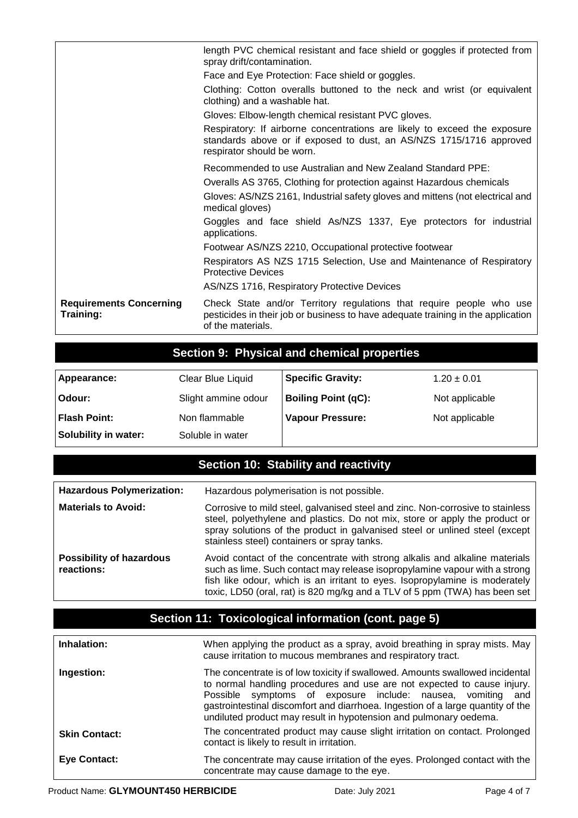|                                             | length PVC chemical resistant and face shield or goggles if protected from<br>spray drift/contamination.                                                                       |
|---------------------------------------------|--------------------------------------------------------------------------------------------------------------------------------------------------------------------------------|
|                                             | Face and Eye Protection: Face shield or goggles.                                                                                                                               |
|                                             | Clothing: Cotton overalls buttoned to the neck and wrist (or equivalent<br>clothing) and a washable hat.                                                                       |
|                                             | Gloves: Elbow-length chemical resistant PVC gloves.                                                                                                                            |
|                                             | Respiratory: If airborne concentrations are likely to exceed the exposure<br>standards above or if exposed to dust, an AS/NZS 1715/1716 approved<br>respirator should be worn. |
|                                             | Recommended to use Australian and New Zealand Standard PPE:                                                                                                                    |
|                                             | Overalls AS 3765, Clothing for protection against Hazardous chemicals                                                                                                          |
|                                             | Gloves: AS/NZS 2161, Industrial safety gloves and mittens (not electrical and<br>medical gloves)                                                                               |
|                                             | Goggles and face shield As/NZS 1337, Eye protectors for industrial<br>applications.                                                                                            |
|                                             | Footwear AS/NZS 2210, Occupational protective footwear                                                                                                                         |
|                                             | Respirators AS NZS 1715 Selection, Use and Maintenance of Respiratory<br><b>Protective Devices</b>                                                                             |
|                                             | AS/NZS 1716, Respiratory Protective Devices                                                                                                                                    |
| <b>Requirements Concerning</b><br>Training: | Check State and/or Territory regulations that require people who use<br>pesticides in their job or business to have adequate training in the application<br>of the materials.  |

## **Section 9: Physical and chemical properties**

| Appearance:          | Clear Blue Liquid   | <b>Specific Gravity:</b>   | $1.20 \pm 0.01$ |
|----------------------|---------------------|----------------------------|-----------------|
| Odour:               | Slight ammine odour | <b>Boiling Point (qC):</b> | Not applicable  |
| <b>Flash Point:</b>  | Non flammable       | <b>Vapour Pressure:</b>    | Not applicable  |
| Solubility in water: | Soluble in water    |                            |                 |

## **Section 10: Stability and reactivity**

| <b>Hazardous Polymerization:</b>              | Hazardous polymerisation is not possible.                                                                                                                                                                                                                                                                              |
|-----------------------------------------------|------------------------------------------------------------------------------------------------------------------------------------------------------------------------------------------------------------------------------------------------------------------------------------------------------------------------|
| <b>Materials to Avoid:</b>                    | Corrosive to mild steel, galvanised steel and zinc. Non-corrosive to stainless<br>steel, polyethylene and plastics. Do not mix, store or apply the product or<br>spray solutions of the product in galvanised steel or unlined steel (except<br>stainless steel) containers or spray tanks.                            |
| <b>Possibility of hazardous</b><br>reactions: | Avoid contact of the concentrate with strong alkalis and alkaline materials<br>such as lime. Such contact may release isopropylamine vapour with a strong<br>fish like odour, which is an irritant to eyes. Isopropylamine is moderately<br>toxic, LD50 (oral, rat) is 820 mg/kg and a TLV of 5 ppm (TWA) has been set |

## **Section 11: Toxicological information (cont. page 5)**

| Inhalation:          | When applying the product as a spray, avoid breathing in spray mists. May<br>cause irritation to mucous membranes and respiratory tract.                                                                                                                                                                                                                                           |
|----------------------|------------------------------------------------------------------------------------------------------------------------------------------------------------------------------------------------------------------------------------------------------------------------------------------------------------------------------------------------------------------------------------|
| Ingestion:           | The concentrate is of low toxicity if swallowed. Amounts swallowed incidental<br>to normal handling procedures and use are not expected to cause injury.<br>symptoms of exposure include: nausea, vomiting and<br>Possible<br>gastrointestinal discomfort and diarrhoea. Ingestion of a large quantity of the<br>undiluted product may result in hypotension and pulmonary oedema. |
| <b>Skin Contact:</b> | The concentrated product may cause slight irritation on contact. Prolonged<br>contact is likely to result in irritation.                                                                                                                                                                                                                                                           |
| <b>Eye Contact:</b>  | The concentrate may cause irritation of the eyes. Prolonged contact with the<br>concentrate may cause damage to the eye.                                                                                                                                                                                                                                                           |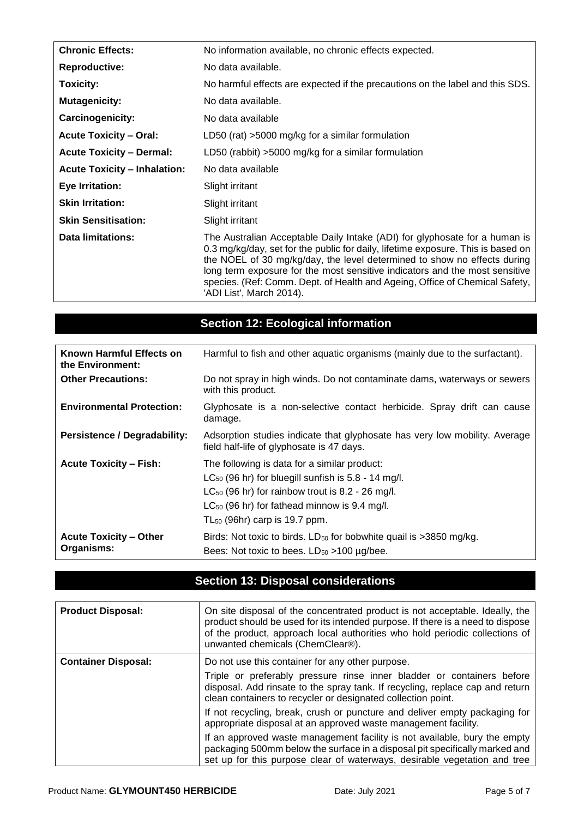| <b>Chronic Effects:</b>             | No information available, no chronic effects expected.                                                                                                                                                                                                                                                                                                                                                                               |  |
|-------------------------------------|--------------------------------------------------------------------------------------------------------------------------------------------------------------------------------------------------------------------------------------------------------------------------------------------------------------------------------------------------------------------------------------------------------------------------------------|--|
| <b>Reproductive:</b>                | No data available.                                                                                                                                                                                                                                                                                                                                                                                                                   |  |
| Toxicity:                           | No harmful effects are expected if the precautions on the label and this SDS.                                                                                                                                                                                                                                                                                                                                                        |  |
| <b>Mutagenicity:</b>                | No data available.                                                                                                                                                                                                                                                                                                                                                                                                                   |  |
| Carcinogenicity:                    | No data available                                                                                                                                                                                                                                                                                                                                                                                                                    |  |
| <b>Acute Toxicity – Oral:</b>       | LD50 (rat) $>5000$ mg/kg for a similar formulation                                                                                                                                                                                                                                                                                                                                                                                   |  |
| <b>Acute Toxicity - Dermal:</b>     | LD50 (rabbit) >5000 mg/kg for a similar formulation                                                                                                                                                                                                                                                                                                                                                                                  |  |
| <b>Acute Toxicity - Inhalation:</b> | No data available                                                                                                                                                                                                                                                                                                                                                                                                                    |  |
| <b>Eye Irritation:</b>              | Slight irritant                                                                                                                                                                                                                                                                                                                                                                                                                      |  |
| <b>Skin Irritation:</b>             | Slight irritant                                                                                                                                                                                                                                                                                                                                                                                                                      |  |
| <b>Skin Sensitisation:</b>          | Slight irritant                                                                                                                                                                                                                                                                                                                                                                                                                      |  |
| <b>Data limitations:</b>            | The Australian Acceptable Daily Intake (ADI) for glyphosate for a human is<br>0.3 mg/kg/day, set for the public for daily, lifetime exposure. This is based on<br>the NOEL of 30 mg/kg/day, the level determined to show no effects during<br>long term exposure for the most sensitive indicators and the most sensitive<br>species. (Ref: Comm. Dept. of Health and Ageing, Office of Chemical Safety,<br>'ADI List', March 2014). |  |

## **Section 12: Ecological information**

| Known Harmful Effects on<br>the Environment: | Harmful to fish and other aquatic organisms (mainly due to the surfactant).                                                                                                                                                                                  |  |
|----------------------------------------------|--------------------------------------------------------------------------------------------------------------------------------------------------------------------------------------------------------------------------------------------------------------|--|
| <b>Other Precautions:</b>                    | Do not spray in high winds. Do not contaminate dams, waterways or sewers<br>with this product.                                                                                                                                                               |  |
| <b>Environmental Protection:</b>             | Glyphosate is a non-selective contact herbicide. Spray drift can cause<br>damage.                                                                                                                                                                            |  |
| <b>Persistence / Degradability:</b>          | Adsorption studies indicate that glyphosate has very low mobility. Average<br>field half-life of glyphosate is 47 days.                                                                                                                                      |  |
| <b>Acute Toxicity - Fish:</b>                | The following is data for a similar product:<br>$LC_{50}$ (96 hr) for bluegill sunfish is 5.8 - 14 mg/l.<br>$LC_{50}$ (96 hr) for rainbow trout is 8.2 - 26 mg/l.<br>$LC_{50}$ (96 hr) for fathead minnow is 9.4 mg/l.<br>$TL_{50}$ (96hr) carp is 19.7 ppm. |  |
| <b>Acute Toxicity - Other</b><br>Organisms:  | Birds: Not toxic to birds. LD <sub>50</sub> for bobwhite quail is >3850 mg/kg.<br>Bees: Not toxic to bees. $LD_{50} > 100 \mu g/$ bee.                                                                                                                       |  |

# **Section 13: Disposal considerations**

| <b>Product Disposal:</b>   | On site disposal of the concentrated product is not acceptable. Ideally, the<br>product should be used for its intended purpose. If there is a need to dispose<br>of the product, approach local authorities who hold periodic collections of<br>unwanted chemicals (ChemClear®). |
|----------------------------|-----------------------------------------------------------------------------------------------------------------------------------------------------------------------------------------------------------------------------------------------------------------------------------|
| <b>Container Disposal:</b> | Do not use this container for any other purpose.<br>Triple or preferably pressure rinse inner bladder or containers before<br>disposal. Add rinsate to the spray tank. If recycling, replace cap and return<br>clean containers to recycler or designated collection point.       |
|                            | If not recycling, break, crush or puncture and deliver empty packaging for<br>appropriate disposal at an approved waste management facility.                                                                                                                                      |
|                            | If an approved waste management facility is not available, bury the empty<br>packaging 500mm below the surface in a disposal pit specifically marked and<br>set up for this purpose clear of waterways, desirable vegetation and tree                                             |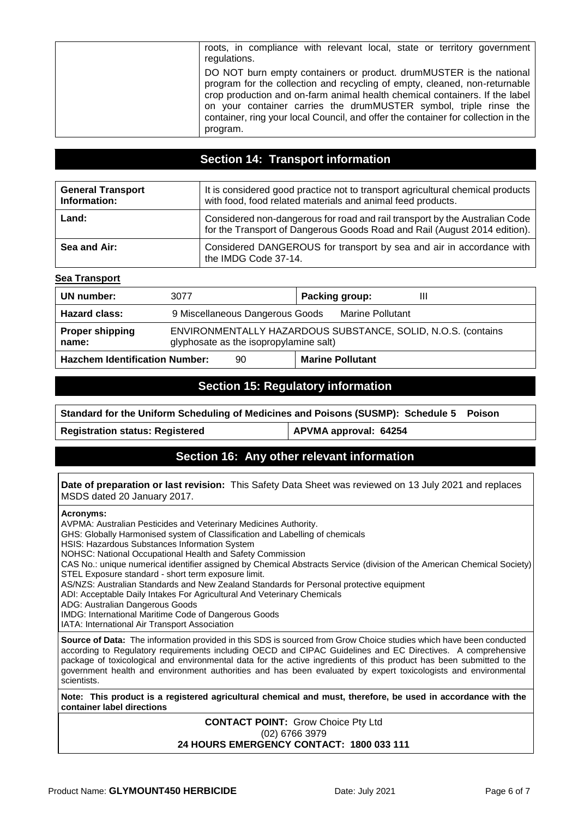| roots, in compliance with relevant local, state or territory government<br>regulations.                                                                                                                                                                                                                                                                                                                |
|--------------------------------------------------------------------------------------------------------------------------------------------------------------------------------------------------------------------------------------------------------------------------------------------------------------------------------------------------------------------------------------------------------|
| DO NOT burn empty containers or product. drumMUSTER is the national<br>program for the collection and recycling of empty, cleaned, non-returnable<br>crop production and on-farm animal health chemical containers. If the label<br>on your container carries the drumMUSTER symbol, triple rinse the<br>container, ring your local Council, and offer the container for collection in the<br>program. |

### **Section 14: Transport information**

| <b>General Transport</b><br>Information: | It is considered good practice not to transport agricultural chemical products<br>with food, food related materials and animal feed products.            |  |
|------------------------------------------|----------------------------------------------------------------------------------------------------------------------------------------------------------|--|
| Land:                                    | Considered non-dangerous for road and rail transport by the Australian Code<br>for the Transport of Dangerous Goods Road and Rail (August 2014 edition). |  |
| Sea and Air:                             | Considered DANGEROUS for transport by sea and air in accordance with<br>the IMDG Code 37-14.                                                             |  |

#### **Sea Transport**

| UN number:                            | 3077                                                                                                   | Packing group:<br>Ш     |  |
|---------------------------------------|--------------------------------------------------------------------------------------------------------|-------------------------|--|
| <b>Hazard class:</b>                  | 9 Miscellaneous Dangerous Goods                                                                        | Marine Pollutant        |  |
| <b>Proper shipping</b><br>name:       | ENVIRONMENTALLY HAZARDOUS SUBSTANCE, SOLID, N.O.S. (contains<br>glyphosate as the isopropylamine salt) |                         |  |
| <b>Hazchem Identification Number:</b> | 90                                                                                                     | <b>Marine Pollutant</b> |  |

### **Section 15: Regulatory information**

**Standard for the Uniform Scheduling of Medicines and Poisons (SUSMP): Schedule 5 Poison**

**Registration status: Registered APVMA approval: 64254**

### **Section 16: Any other relevant information**

#### **Date of preparation or last revision:** This Safety Data Sheet was reviewed on 13 July 2021 and replaces MSDS dated 20 January 2017.

#### **Acronyms:**

AVPMA: Australian Pesticides and Veterinary Medicines Authority.

GHS: Globally Harmonised system of Classification and Labelling of chemicals

HSIS: Hazardous Substances Information System

NOHSC: National Occupational Health and Safety Commission

CAS No.: unique numerical identifier assigned by Chemical Abstracts Service (division of the American Chemical Society) STEL Exposure standard - short term exposure limit.

AS/NZS: Australian Standards and New Zealand Standards for Personal protective equipment

ADI: Acceptable Daily Intakes For Agricultural And Veterinary Chemicals

ADG: Australian Dangerous Goods

IMDG: International Maritime Code of Dangerous Goods

IATA: International Air Transport Association

**Source of Data:** The information provided in this SDS is sourced from Grow Choice studies which have been conducted according to Regulatory requirements including OECD and CIPAC Guidelines and EC Directives. A comprehensive package of toxicological and environmental data for the active ingredients of this product has been submitted to the government health and environment authorities and has been evaluated by expert toxicologists and environmental scientists.

**Note: This product is a registered agricultural chemical and must, therefore, be used in accordance with the container label directions** 

> **CONTACT POINT:** Grow Choice Pty Ltd (02) 6766 3979 **24 HOURS EMERGENCY CONTACT: 1800 033 111**